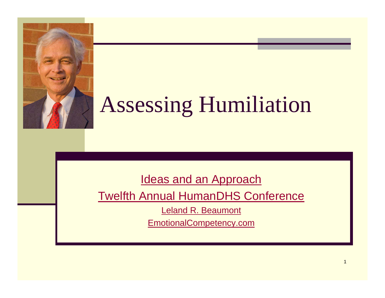

# Assessing Humiliation

[Ideas and an Approach](http://www.emotionalcompetency.com/hdi/)

[Twelfth Annual HumanDHS Conference](http://humiliationstudies.org/whoweare/annualmeeting12.php#program) 

[Leland R. Beaumont](http://humiliationstudies.org/research/assessmentteam.php#beaumont)

[EmotionalCompetency.com](http://www.emotionalcompetency.com/)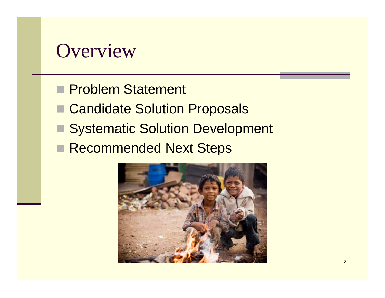### **Overview**

- **Problem Statement**
- Candidate Solution Proposals
- **E Systematic Solution Development**
- Recommended Next Steps

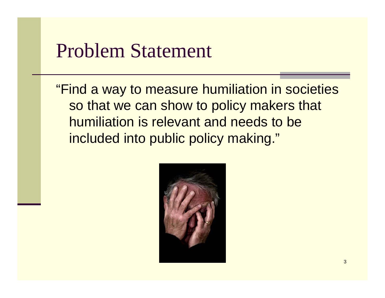### Problem Statement

"Find a way to measure humiliation in societies so that we can show to policy makers that humiliation is relevant and needs to be included into public policy making."

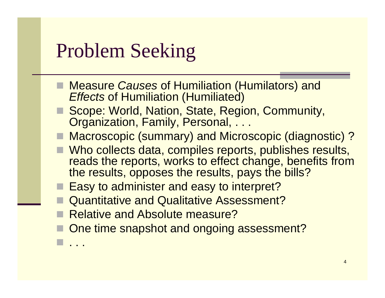### Problem Seeking

- Measure *Causes* of Humiliation (Humilators) and *Effects* of Humiliation (Humiliated)
- Scope: World, Nation, State, Region, Community, Organization, Family, Personal, ...
- Macroscopic (summary) and Microscopic (diagnostic)?
- Who collects data, compiles reports, publishes results, reads the reports, works to effect change, benefits from the results, opposes the results, pays the bills?
- Easy to administer and easy to interpret?
- Quantitative and Qualitative Assessment?
- Relative and Absolute measure?

. . .

One time snapshot and ongoing assessment?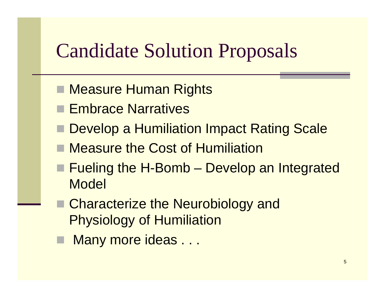### Candidate Solution Proposals

- Measure Human Rights
- Embrace Narratives
- Develop a Humiliation Impact Rating Scale
- Measure the Cost of Humiliation
- Fueling the H-Bomb Develop an Integrated Model
- Characterize the Neurobiology and Physiology of Humiliation
- Many more ideas . . .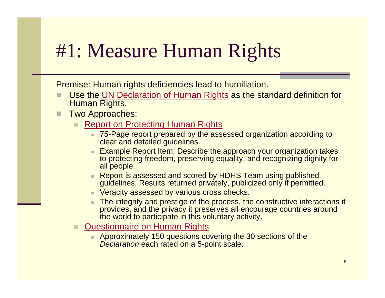### #1: Measure Human Rights

Premise: Human rights deficiencies lead to humiliation.

- П Use the [UN Declaration of Human Rights](http://www.un.org/Overview/rights.html) as the standard definition for Human Rights.
- L Two Approaches:
	- [Report on Protecting Human Rights](http://www.emotionalcompetency.com/hdi/hrguide.htm)
		- 75-Page report prepared by the assessed organization according to clear and detailed guidelines.
		- Example Report Item: Describe the approach your organization takes to protecting freedom, preserving equality, and recognizing dignity for all people.
		- Report is assessed and scored by HDHS Team using published guidelines. Results returned privately, publicized only if permitted.
		- Veracity assessed by various cross checks.
		- The integrity and prestige of the process, the constructive interactions it provides, and the privacy it preserves all encourage countries around the world to participate in this voluntary activity.
	- [Questionnaire on Human Rights](http://www.emotionalcompetency.com/hdi/hrq.htm)
		- m. Approximately 150 questions covering the 30 sections of the *Declaration* each rated on a 5-point scale.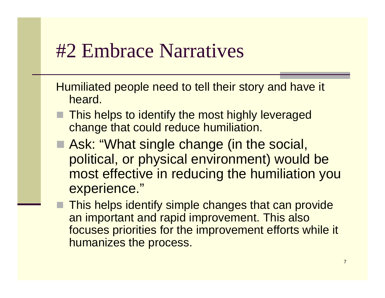### #2 Embrace Narratives

Humiliated people need to tell their story and have it heard.

- **This helps to identify the most highly leveraged** change that could reduce humiliation.
- Ask: "What single change (in the social, political, or physical environment) would be most effective in reducing the humiliation you experience."
	- This helps identify simple changes that can provide an important and rapid improvement. This also focuses priorities for the improvement efforts while it humanizes the process.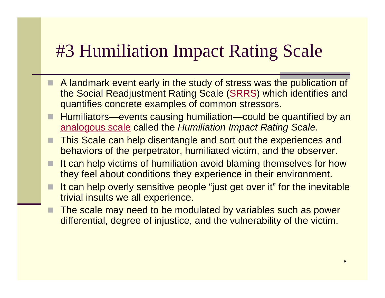### #3 Humiliation Impact Rating Scale

- $\blacksquare$  A landmark event early in the study of stress was the publication of the Social Readjustment Rating Scale ([SRRS](http://www.emotionalcompetency.com/srrs.htm)) which identifies and quantifies concrete examples of common stressors.
- П Humiliators—events causing humiliation—could be quantified by an [analogous scale](http://www.emotionalcompetency.com/hdi/hirs.htm) called the *Humiliation Impact Rating Scale*.
- П This Scale can help disentangle and sort out the experiences and behaviors of the perpetrator, humiliated victim, and the observer.
- It can help victims of humiliation avoid blaming themselves for how they feel about conditions they experience in their environment.
- п It can help overly sensitive people "just get over it" for the inevitable trivial insults we all experience.
- п The scale may need to be modulated by variables such as power differential, degree of injustice, and the vulnerability of the victim.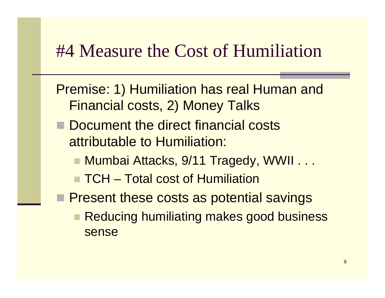### #4 Measure the Cost of Humiliation

- Premise: 1) Humiliation has real Human and Financial costs, 2) Money Talks
- Document the direct financial costs attributable to Humiliation:
	- Mumbai Attacks, 9/11 Tragedy, WWII . . .
	- TCH Total cost of Humiliation
- **Present these costs as potential savings** 
	- Reducing humiliating makes good business sense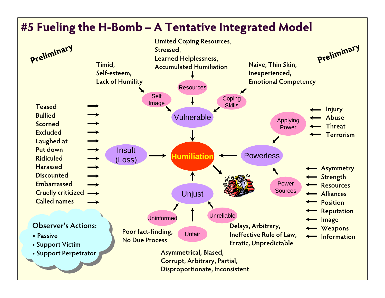### **#5 Fueling the H-Bomb – A Tentative Integrated Model**

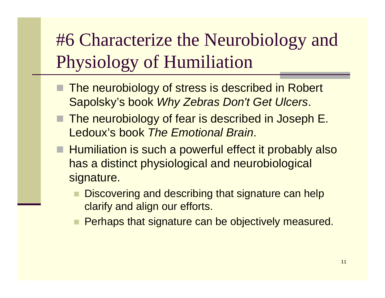### #6 Characterize the Neurobiology and Physiology of Humiliation

- The neurobiology of stress is described in Robert Sapolsky's book *Why Zebras Don't Get Ulcers*.
- The neurobiology of fear is described in Joseph E. Ledoux's book *The Emotional Brain*.
- **Humiliation is such a powerful effect it probably also** has a distinct physiological and neurobiological signature.
	- Discovering and describing that signature can help clarify and align our efforts.
	- Perhaps that signature can be objectively measured.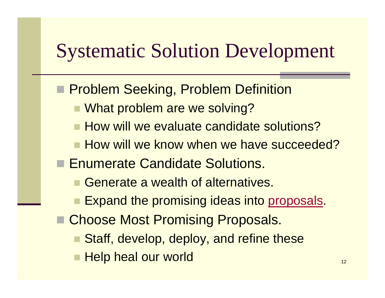## Systematic Solution Development

- **Problem Seeking, Problem Definition** 
	- What problem are we solving?
	- **How will we evaluate candidate solutions?**
	- **How will we know when we have succeeded?**
- Enumerate Candidate Solutions.
	- Generate a wealth of alternatives.
	- Expand the promising ideas into proposals.
- Choose Most Promising Proposals.
	- Staff, develop, deploy, and refine these
	- Help heal our world